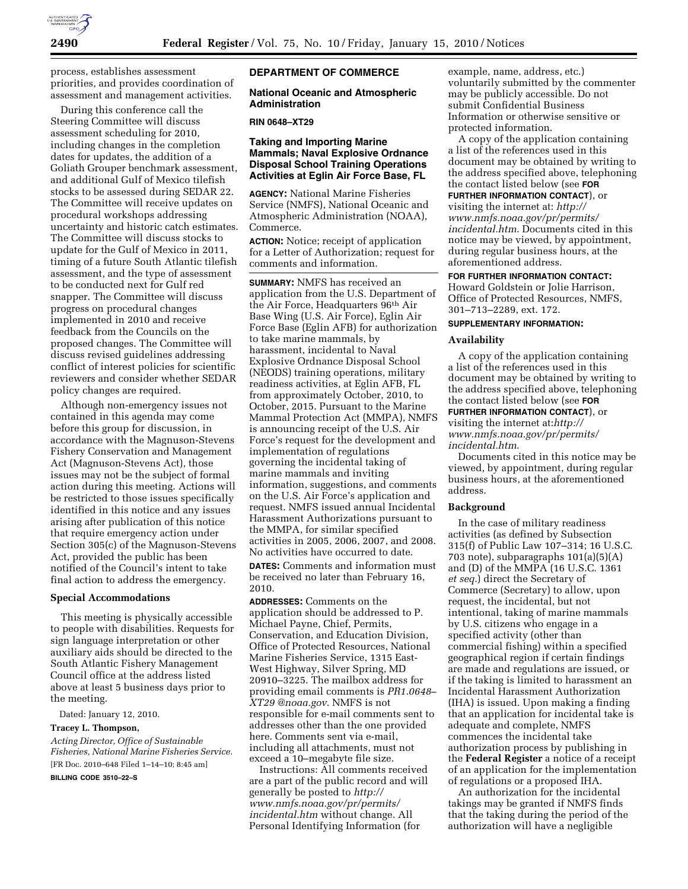

process, establishes assessment priorities, and provides coordination of assessment and management activities.

During this conference call the Steering Committee will discuss assessment scheduling for 2010, including changes in the completion dates for updates, the addition of a Goliath Grouper benchmark assessment, and additional Gulf of Mexico tilefish stocks to be assessed during SEDAR 22. The Committee will receive updates on procedural workshops addressing uncertainty and historic catch estimates. The Committee will discuss stocks to update for the Gulf of Mexico in 2011, timing of a future South Atlantic tilefish assessment, and the type of assessment to be conducted next for Gulf red snapper. The Committee will discuss progress on procedural changes implemented in 2010 and receive feedback from the Councils on the proposed changes. The Committee will discuss revised guidelines addressing conflict of interest policies for scientific reviewers and consider whether SEDAR policy changes are required.

Although non-emergency issues not contained in this agenda may come before this group for discussion, in accordance with the Magnuson-Stevens Fishery Conservation and Management Act (Magnuson-Stevens Act), those issues may not be the subject of formal action during this meeting. Actions will be restricted to those issues specifically identified in this notice and any issues arising after publication of this notice that require emergency action under Section 305(c) of the Magnuson-Stevens Act, provided the public has been notified of the Council's intent to take final action to address the emergency.

#### **Special Accommodations**

This meeting is physically accessible to people with disabilities. Requests for sign language interpretation or other auxiliary aids should be directed to the South Atlantic Fishery Management Council office at the address listed above at least 5 business days prior to the meeting.

Dated: January 12, 2010.

## **Tracey L. Thompson,**

*Acting Director, Office of Sustainable Fisheries, National Marine Fisheries Service.*  [FR Doc. 2010–648 Filed 1–14–10; 8:45 am]

**BILLING CODE 3510–22–S** 

### **DEPARTMENT OF COMMERCE**

### **National Oceanic and Atmospheric Administration**

## **RIN 0648–XT29**

## **Taking and Importing Marine Mammals; Naval Explosive Ordnance Disposal School Training Operations Activities at Eglin Air Force Base, FL**

**AGENCY:** National Marine Fisheries Service (NMFS), National Oceanic and Atmospheric Administration (NOAA), Commerce.

**ACTION:** Notice; receipt of application for a Letter of Authorization; request for comments and information.

**SUMMARY:** NMFS has received an application from the U.S. Department of the Air Force, Headquarters 96th Air Base Wing (U.S. Air Force), Eglin Air Force Base (Eglin AFB) for authorization to take marine mammals, by harassment, incidental to Naval Explosive Ordnance Disposal School (NEODS) training operations, military readiness activities, at Eglin AFB, FL from approximately October, 2010, to October, 2015. Pursuant to the Marine Mammal Protection Act (MMPA), NMFS is announcing receipt of the U.S. Air Force's request for the development and implementation of regulations governing the incidental taking of marine mammals and inviting information, suggestions, and comments on the U.S. Air Force's application and request. NMFS issued annual Incidental Harassment Authorizations pursuant to the MMPA, for similar specified activities in 2005, 2006, 2007, and 2008. No activities have occurred to date.

**DATES:** Comments and information must be received no later than February 16, 2010.

**ADDRESSES:** Comments on the application should be addressed to P. Michael Payne, Chief, Permits, Conservation, and Education Division, Office of Protected Resources, National Marine Fisheries Service, 1315 East-West Highway, Silver Spring, MD 20910–3225. The mailbox address for providing email comments is *PR1.0648– XT29 @noaa.gov*. NMFS is not responsible for e-mail comments sent to addresses other than the one provided here. Comments sent via e-mail, including all attachments, must not exceed a 10–megabyte file size.

Instructions: All comments received are a part of the public record and will generally be posted to *http:// www.nmfs.noaa.gov/pr/permits/ incidental.htm* without change. All Personal Identifying Information (for

example, name, address, etc.) voluntarily submitted by the commenter may be publicly accessible. Do not submit Confidential Business Information or otherwise sensitive or protected information.

A copy of the application containing a list of the references used in this document may be obtained by writing to the address specified above, telephoning the contact listed below (see **FOR**

**FURTHER INFORMATION CONTACT**), or visiting the internet at: *http:// www.nmfs.noaa.gov/pr/permits/ incidental.htm*. Documents cited in this notice may be viewed, by appointment, during regular business hours, at the

#### **FOR FURTHER INFORMATION CONTACT:**

Howard Goldstein or Jolie Harrison, Office of Protected Resources, NMFS, 301–713–2289, ext. 172.

## **SUPPLEMENTARY INFORMATION:**

aforementioned address.

### **Availability**

A copy of the application containing a list of the references used in this document may be obtained by writing to the address specified above, telephoning the contact listed below (see **FOR**

## **FURTHER INFORMATION CONTACT**), or

visiting the internet at:*http:// www.nmfs.noaa.gov/pr/permits/ incidental.htm*.

Documents cited in this notice may be viewed, by appointment, during regular business hours, at the aforementioned address.

#### **Background**

In the case of military readiness activities (as defined by Subsection 315(f) of Public Law 107–314; 16 U.S.C. 703 note), subparagraphs 101(a)(5)(A) and (D) of the MMPA (16 U.S.C. 1361 *et seq.*) direct the Secretary of Commerce (Secretary) to allow, upon request, the incidental, but not intentional, taking of marine mammals by U.S. citizens who engage in a specified activity (other than commercial fishing) within a specified geographical region if certain findings are made and regulations are issued, or if the taking is limited to harassment an Incidental Harassment Authorization (IHA) is issued. Upon making a finding that an application for incidental take is adequate and complete, NMFS commences the incidental take authorization process by publishing in the **Federal Register** a notice of a receipt of an application for the implementation of regulations or a proposed IHA.

An authorization for the incidental takings may be granted if NMFS finds that the taking during the period of the authorization will have a negligible